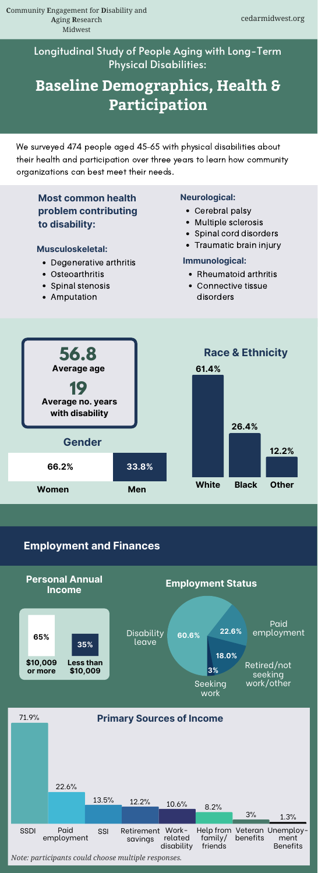We surveyed 474 people aged 45–65 with physical disabilities about their health and participation over three years to learn how community organizations can best meet their needs.

- Cerebral palsy
- Multiple sclerosis
- Spinal cord disorders
- Traumatic brain injury

# **Most common health problem contributing to disability:**

#### **Musculoskeletal:**

- Degenerative arthritis
- Osteoarthritis
- Spinal stenosis
- Amputation

## **Neurological:**

#### **Immunological:**

- Rheumatoid arthritis
- Connective tissue disorders



# Longitudinal Study of People Aging with Long-Term Physical Disabilities:

# **Baseline Demographics, Health & Participation**

*Note: participants could choose multiple responses.*